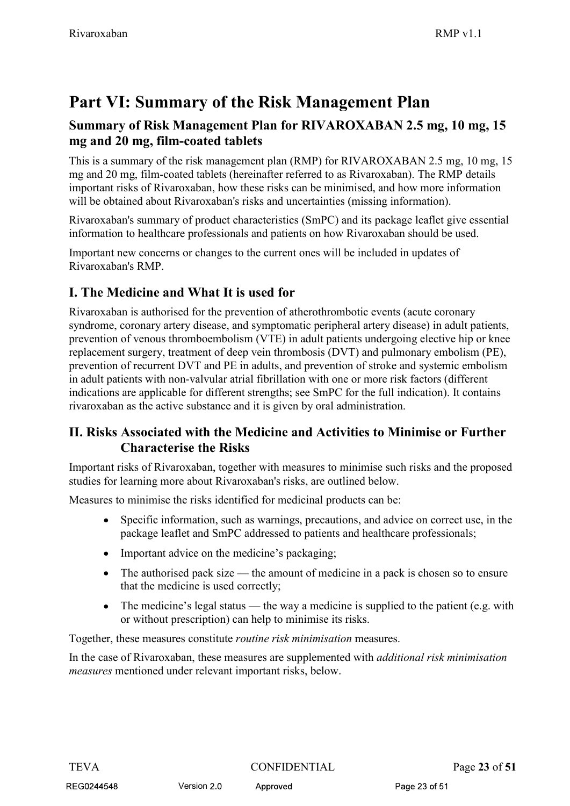# Rivaroxaban<br>RMP v1.1

## Rivaroxaban<br> **Part VI: Summary of the Risk Management Plan<br>
Summary of Risk Management Plan for RIVAROXABAN 2.5 mg, 10 mg, 15<br>
mg and 20 mg, film-coated tablets<br>
This is a summary of the risk management plan (RMP) for RIVA** mg and 20 mg, film-coated tablets

Rivaroxaban<br> **Part VI: Summary of the Risk Management Plan**<br> **Summary of Risk Management Plan for RIVAROXABAN 2.5 mg, 10 mg, 15<br>
<b>mg and 20 mg, film-coated tablets**<br>
This is a summary of the risk management plan (RMP) for Rivaroxaban<br> **Part VI: Summary of the Risk Management Plan**<br> **Summary of Risk Management Plan for RIVAROXABAN 2.5 mg, 10 mg, 15<br>
<b>mg and 20 mg, film-coated tablets**<br>
This is a summary of the risk management plan (RMP) for Rivaroxaban<br> **Part VI: Summary of the Risk Management Plan**<br> **Summary of Risk Management Plan for RIVAROXABAN 2.5 mg, 10 mg, 15<br>
mg and 20 mg, film-coated tablets<br>
This is a summary of the risk management plan (RMP) for RI** important risks of Rivaroxaban, how these risks can be minimised, and how more information will be obtained about Rivaroxaban's risks and uncertainties (missing information). Rivaroxaban **Example 19 RMP v1.1**<br>**Part VI: Summary of the Risk Management Plan**<br>**Summary of Risk Management Plan for RIVAROXABAN 2.5 mg, 10 mg, 15**<br>This is a summary of the risk management plan (RMP) for RIVAROXABAN 2.5 Rivaroxaban<br> **Part VI: Summary of the Risk Management Plan**<br> **Summary of Risk Management Plan for RIVAROXABAN 2.5 mg, 10 mg, 15**<br> **mg and 20 mg, film-coated tablets**<br>
This is a summary of the risk management plan (RMP) for **Part VI: Summary of the Risk Management Plan<br>
Summary of Risk Management Plan for RIVAROXABAN 2.5 mg, 10 mg, 15<br>
mg and 20 mg, film-coated tablets<br>
This is a summary of the risk management plan (RMP) for RIVAROXABAN 2.5** 

Rivaroxaban's summary of product characteristics (SmPC) and its package leaflet give essential

Rivaroxaban's RMP.

**Part VI: Summary of the Risk Management Plan<br>Summary of Risk Management Plan for RIVAROXABAN 2.5 mg, 10 mg, 15<br>mg and 20 mg, film-coated tablets<br>This is a summary of the risk management plan (RMP) for RIVAROXABAN 2.5 mg, Part VI: Summary of the Risk Management Plan**<br> **Summary of Risk Management Plan for RIVAROXABAN 2.5 mg, 10 mg, 15**<br> **Fin** is a summary of the risk management plan (RMP) for RIVAROXABAN 2.5 mg, 10 mg, 15<br>
This is a summar prevention of venous thromboembolism (VTE) in adult patients undergoing elective hip or knee replacement surgery, treatment of deep vein thrombosis (DVT) and pulmonary embolism (PE), prevention of recurrent DVT and PE in adults, and prevention of stroke and systemic embolism in adult patients with non-valvular atrial fibrillation with one or more risk factors (different In this is a summary of the risk mangement plan (RMP) for RIVAROXABAN 2.5 mg, 10 mg, 15 mg and 20 mg, film-coated tablets (hereinafter referred to as Rivaroxaban). The RMP details important risks or Rivaroxaban, how these This is a summary of the risk management plan (RMP) for RIVAROXABAN 2.5 mg, 10 mg and 20 mg, film-coated tablets (hereinafter referred to as Rivaroxaban). The RMP detination in the MP detination in the MP detination will b II. The both in the Medicine and it is given by and how more information in the Medicine of Nivaroxaban's sinks and both medicines (singlig information).<br>
Rivaroxaban's summary of product characteristics (SmPC) and its pac uned about Kivaroxaban's risks and uncertainties (missing information).<br>In's summary of product characteristics (SmPC) and its package leafted give essential<br>to healthcare professionals and patients on how Rivaroxaban shou EXENDITE TO FOODER THE THE TRIGAL CONDUCT AND A SPACK CONTEXT AND THE DEAL ORDER THE TRIGATE THE TRIGATE THE MEDICITED AND THE MEDICITED IN THE MEDICITED IN THE RIVAROXABAN is authorised for the prevention of atherothrombo mportant new concerns or changes to the current ones will be included in updates or<br>
Rivaroxaban's RMP.<br>
I. The Medicine and What It is used for<br>
Rivaroxaban's is authorised for the prevention of atherothrombotic events (a **edicine and What It is used for**<br>in is authorised for the prevention of atherothrombotic events (acute coronary<br>coronary artery discase, and symptomatic peripheral artery discase) in adult patients,<br>of venous thromboenhol **edicine and What It is used for**<br>
in is authorised for the prevention of atherothrombotic events (acute coronary<br>
ororonary artery disease, and symptomatic peripheral artery disease) in adult patients,<br>
of venous thromboe coromary arrely cuesses, and symptomatic pertipleral arrely disease, on in a anti-patients, or of venous thromboenbolism (VTE) in adult patients undergoing elective hip or knees to stregery, treatment of deep vein thrombos of recurrent DVT and PE in adults, and prevention of stroke and systemic embolism<br>ients with non-valvular attial fibrillation with one or more risk factors (different<br>are applicable for different strengths; see SmPC for th

studies for learning more about Rivaroxaban's risks, are outlined below.

- 
- Important advice on the medicine's packaging;
- that the medicine is used correctly;
- or without prescription) can help to minimise its risks.

Together, these measures constitute routine risk minimisation measures.

• Specific information, such as warmings, precautions, and advice on correct use, in the package leaflet and SmPC addressed to patients and heldtheare professionals;<br>
• Important advice on the medicine's packaging;<br>
• The In the case of Rivaroxaban, these measures are supplemented with additional risk minimisation measures mentioned under relevant important risks, below.

Version 2.0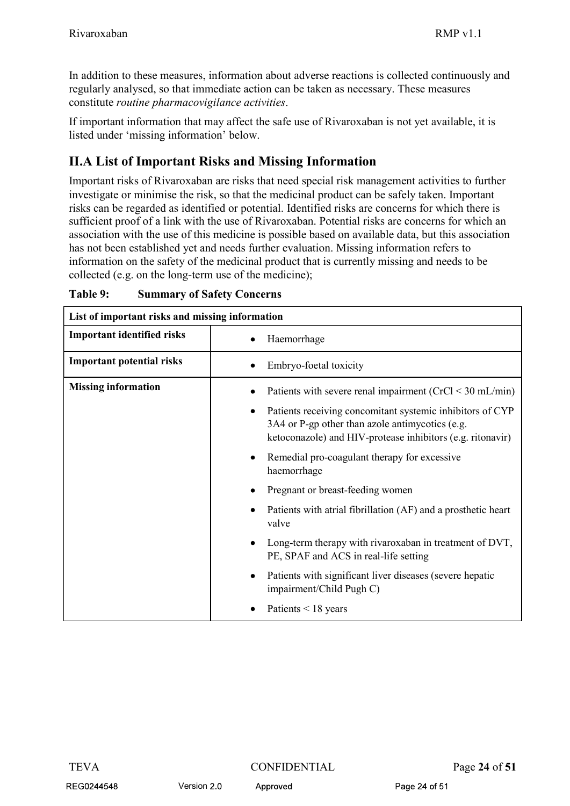Rivaroxaban<br>
RMP v1.1<br>
In addition to these measures, information about adverse reactions is collected continuously and<br>
regularly analysed, so that immediate action can be taken as necessary. These measures In addition to these measures, information about adverse reactions is collected continuously and Rivaroxaban<br>In addition to these measures, information about adverse reactions is collected continuously and<br>regularly analysed, so that immediate action can be taken as necessary. These measures<br>constitute *routine pharma* Rivaroxaban<br>
In addition to these measures, information about adverse reactions is collected continuously and<br>
regularly analysed, so that immediate action can be taken as necessary. These measures<br>
constitute *routine pha* 

Rivaroxaban<br>
In addition to these measures, information about adverse reactions is collected continuously and<br>
regularly analysed, so that immediate action can be taken as necessary. These measures<br>
constitute *routine pha* Rivaroxaban **IMPORT CONTOT CONTOT** IN addition to these measures, information about adverse reactions is collected continuously and regularly analysed, so that immediate action can be taken as necessary. These measures con **Example 18** Rivaroxaban<br>
In addition to these measures, information about adverse reactions is collected continuously and<br>
regularly analysed, so that immediate action can be taken as necessary. These measures<br>
constitute risks can be regarded as identified or potential. Identified risks are concerns for which there is Rivaroxaban<br>
In addition to these measures, information about adverse reactions is collected continuously and<br>
regularly analysed, so that immediate action can be taken as necessary. These measures<br>
constitute *routine pha* Rivaroxaban RMP v1.1<br>
In addition to these measures, information about adverse reactions is collected continuously and<br>
regularly analysed, so that immediate action can be taken as necessary. These measures<br>
constitute *r* Rivaroxaban<br>
Rivaroxaban<br>
In addition to these measures, information about adverse reactions is collected continuously and<br>
regularly analysed, so that immediate action can be taken as necessary. These measures<br>
constitut information on the safety of the medicinal product that is currently missing and needs to be collected (e.g. on the long-term use of the medicine); In addition to these measures, information about adverse reactions is collected controlled requilarly analysed, so that immediate action can be taken as necessary. These measures constitute *routine pharmacovigilance activ* 

| <b>II.A List of Important Risks and Missing Information</b><br>Important risks of Rivaroxaban are risks that need special risk management activities to further<br>investigate or minimise the risk, so that the medicinal product can be safely taken. Important<br>risks can be regarded as identified or potential. Identified risks are concerns for which there is<br>sufficient proof of a link with the use of Rivaroxaban. Potential risks are concerns for which an<br>association with the use of this medicine is possible based on available data, but this association<br>has not been established yet and needs further evaluation. Missing information refers to<br>information on the safety of the medicinal product that is currently missing and needs to be<br>collected (e.g. on the long-term use of the medicine);<br>Table 9:<br><b>Summary of Safety Concerns</b><br>List of important risks and missing information<br><b>Important identified risks</b><br>Haemorrhage<br><b>Important potential risks</b><br>Embryo-foetal toxicity<br><b>Missing information</b><br>Patients with severe renal impairment (CrCl < 30 mL/min)<br>Patients receiving concomitant systemic inhibitors of CYP<br>3A4 or P-gp other than azole antimycotics (e.g.<br>ketoconazole) and HIV-protease inhibitors (e.g. ritonavir)<br>Remedial pro-coagulant therapy for excessive<br>haemorrhage<br>Pregnant or breast-feeding women<br>Patients with atrial fibrillation (AF) and a prosthetic heart<br>valve<br>Long-term therapy with rivaroxaban in treatment of DVT,<br>PE, SPAF and ACS in real-life setting<br>Patients with significant liver diseases (severe hepatic<br>impairment/Child Pugh C)<br>Patients $<$ 18 years<br><b>CONFIDENTIAL</b><br><b>TEVA</b><br>Page 24 of 51 |                                                        |
|--------------------------------------------------------------------------------------------------------------------------------------------------------------------------------------------------------------------------------------------------------------------------------------------------------------------------------------------------------------------------------------------------------------------------------------------------------------------------------------------------------------------------------------------------------------------------------------------------------------------------------------------------------------------------------------------------------------------------------------------------------------------------------------------------------------------------------------------------------------------------------------------------------------------------------------------------------------------------------------------------------------------------------------------------------------------------------------------------------------------------------------------------------------------------------------------------------------------------------------------------------------------------------------------------------------------------------------------------------------------------------------------------------------------------------------------------------------------------------------------------------------------------------------------------------------------------------------------------------------------------------------------------------------------------------------------------------------------------------------------------------------------------------------------------|--------------------------------------------------------|
|                                                                                                                                                                                                                                                                                                                                                                                                                                                                                                                                                                                                                                                                                                                                                                                                                                                                                                                                                                                                                                                                                                                                                                                                                                                                                                                                                                                                                                                                                                                                                                                                                                                                                                                                                                                                  |                                                        |
|                                                                                                                                                                                                                                                                                                                                                                                                                                                                                                                                                                                                                                                                                                                                                                                                                                                                                                                                                                                                                                                                                                                                                                                                                                                                                                                                                                                                                                                                                                                                                                                                                                                                                                                                                                                                  |                                                        |
|                                                                                                                                                                                                                                                                                                                                                                                                                                                                                                                                                                                                                                                                                                                                                                                                                                                                                                                                                                                                                                                                                                                                                                                                                                                                                                                                                                                                                                                                                                                                                                                                                                                                                                                                                                                                  |                                                        |
|                                                                                                                                                                                                                                                                                                                                                                                                                                                                                                                                                                                                                                                                                                                                                                                                                                                                                                                                                                                                                                                                                                                                                                                                                                                                                                                                                                                                                                                                                                                                                                                                                                                                                                                                                                                                  |                                                        |
|                                                                                                                                                                                                                                                                                                                                                                                                                                                                                                                                                                                                                                                                                                                                                                                                                                                                                                                                                                                                                                                                                                                                                                                                                                                                                                                                                                                                                                                                                                                                                                                                                                                                                                                                                                                                  |                                                        |
|                                                                                                                                                                                                                                                                                                                                                                                                                                                                                                                                                                                                                                                                                                                                                                                                                                                                                                                                                                                                                                                                                                                                                                                                                                                                                                                                                                                                                                                                                                                                                                                                                                                                                                                                                                                                  |                                                        |
|                                                                                                                                                                                                                                                                                                                                                                                                                                                                                                                                                                                                                                                                                                                                                                                                                                                                                                                                                                                                                                                                                                                                                                                                                                                                                                                                                                                                                                                                                                                                                                                                                                                                                                                                                                                                  |                                                        |
|                                                                                                                                                                                                                                                                                                                                                                                                                                                                                                                                                                                                                                                                                                                                                                                                                                                                                                                                                                                                                                                                                                                                                                                                                                                                                                                                                                                                                                                                                                                                                                                                                                                                                                                                                                                                  | REG0244548<br>Version 2.0<br>Approved<br>Page 24 of 51 |